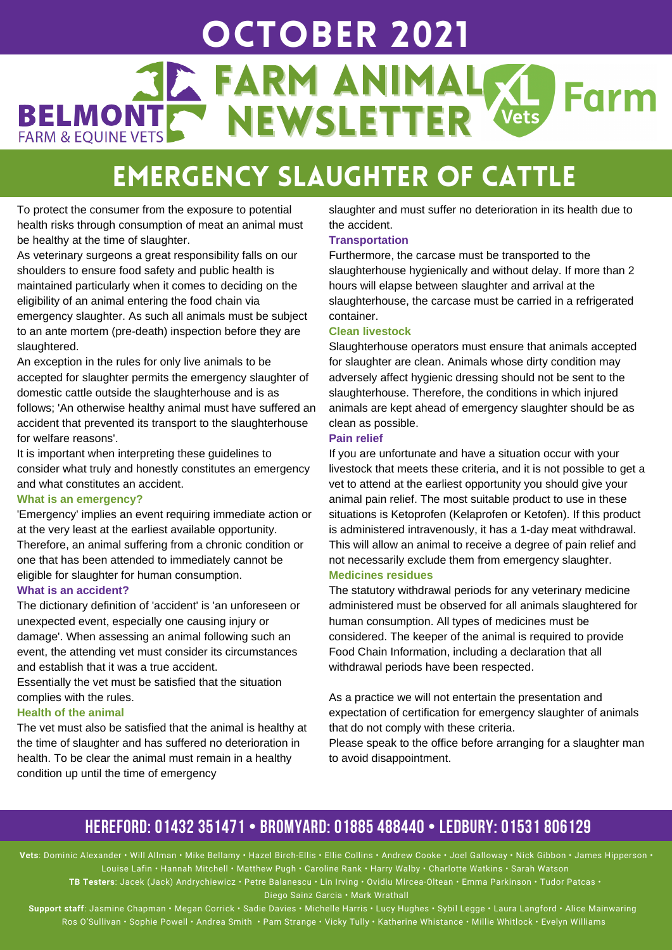## OctoBER 2021 **JE FARM ANIMALS** Farm BELMONTE NEWSLETTER **FARM & EQUINE VETS**

# Emergency Slaughter of Cattle

To protect the consumer from the exposure to potential health risks through consumption of meat an animal must be healthy at the time of slaughter.

As veterinary surgeons a great responsibility falls on our shoulders to ensure food safety and public health is maintained particularly when it comes to deciding on the eligibility of an animal entering the food chain via emergency slaughter. As such all animals must be subject to an ante mortem (pre-death) inspection before they are slaughtered.

An exception in the rules for only live animals to be accepted for slaughter permits the emergency slaughter of domestic cattle outside the slaughterhouse and is as follows; 'An otherwise healthy animal must have suffered an accident that prevented its transport to the slaughterhouse for welfare reasons'.

It is important when interpreting these guidelines to consider what truly and honestly constitutes an emergency and what constitutes an accident.

### **What is an emergency?**

'Emergency' implies an event requiring immediate action or at the very least at the earliest available opportunity. Therefore, an animal suffering from a chronic condition or one that has been attended to immediately cannot be eligible for slaughter for human consumption.

### **What is an accident?**

The dictionary definition of 'accident' is 'an unforeseen or unexpected event, especially one causing injury or damage'. When assessing an animal following such an event, the attending vet must consider its circumstances and establish that it was a true accident.

Essentially the vet must be satisfied that the situation complies with the rules.

### **Health of the animal**

The vet must also be satisfied that the animal is healthy at the time of slaughter and has suffered no deterioration in health. To be clear the animal must remain in a healthy condition up until the time of emergency

slaughter and must suffer no deterioration in its health due to the accident.

### **Transportation**

Furthermore, the carcase must be transported to the slaughterhouse hygienically and without delay. If more than 2 hours will elapse between slaughter and arrival at the slaughterhouse, the carcase must be carried in a refrigerated container.

#### **Clean livestock**

Slaughterhouse operators must ensure that animals accepted for slaughter are clean. Animals whose dirty condition may adversely affect hygienic dressing should not be sent to the slaughterhouse. Therefore, the conditions in which injured animals are kept ahead of emergency slaughter should be as clean as possible.

### **Pain relief**

If you are unfortunate and have a situation occur with your livestock that meets these criteria, and it is not possible to get a vet to attend at the earliest opportunity you should give your animal pain relief. The most suitable product to use in these situations is Ketoprofen (Kelaprofen or Ketofen). If this product is administered intravenously, it has a 1-day meat withdrawal. This will allow an animal to receive a degree of pain relief and not necessarily exclude them from emergency slaughter.

### **Medicines residues**

The statutory withdrawal periods for any veterinary medicine administered must be observed for all animals slaughtered for human consumption. All types of medicines must be considered. The keeper of the animal is required to provide Food Chain Information, including a declaration that all withdrawal periods have been respected.

As a practice we will not entertain the presentation and expectation of certification for emergency slaughter of animals that do not comply with these criteria.

Please speak to the office before arranging for a slaughter man to avoid disappointment.

### **HEREFORD: 01432 351471 • BROMYARD: 01885 488440 • LEDBURY: 01531 806129**

**Vets**: Dominic Alexander • Will Allman • Mike Bellamy • Hazel Birch-Ellis • Ellie Collins • Andrew Cooke • Joel Galloway • Nick Gibbon • James Hipperson • Louise Lafin • Hannah Mitchell • Matthew Pugh • Caroline Rank • Harry Walby • Charlotte Watkins • Sarah Watson

**TB Testers**: Jacek (Jack) Andrychiewicz • Petre Balanescu • Lin Irving • Ovidiu Mircea-Oltean • Emma Parkinson • Tudor Patcas • Diego Sainz Garcia • Mark Wrathall

**Support staff**: Jasmine Chapman • Megan Corrick • Sadie Davies • Michelle Harris • Lucy Hughes • Sybil Legge • Laura Langford • Alice Mainwaring Ros O'Sullivan • Sophie Powell • Andrea Smith • Pam Strange • Vicky Tully • Katherine Whistance • Millie Whitlock • Evelyn Williams